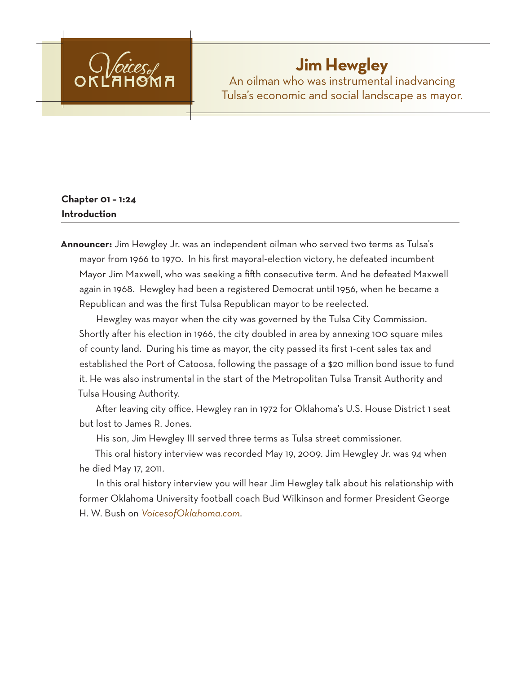

# **Jim Hewgley**

An oilman who was instrumental inadvancing Tulsa's economic and social landscape as mayor.

# **Chapter 01 – 1:24 Introduction**

**Announcer:** Jim Hewgley Jr. was an independent oilman who served two terms as Tulsa's mayor from 1966 to 1970. In his first mayoral-election victory, he defeated incumbent Mayor Jim Maxwell, who was seeking a fifth consecutive term. And he defeated Maxwell again in 1968. Hewgley had been a registered Democrat until 1956, when he became a Republican and was the first Tulsa Republican mayor to be reelected.

Hewgley was mayor when the city was governed by the Tulsa City Commission. Shortly after his election in 1966, the city doubled in area by annexing 100 square miles of county land. During his time as mayor, the city passed its first 1-cent sales tax and established the Port of Catoosa, following the passage of a \$20 million bond issue to fund it. He was also instrumental in the start of the Metropolitan Tulsa Transit Authority and Tulsa Housing Authority.

After leaving city office, Hewgley ran in 1972 for Oklahoma's U.S. House District 1 seat but lost to James R. Jones.

His son, Jim Hewgley III served three terms as Tulsa street commissioner.

This oral history interview was recorded May 19, 2009. Jim Hewgley Jr. was 94 when he died May 17, 2011.

In this oral history interview you will hear Jim Hewgley talk about his relationship with former Oklahoma University football coach Bud Wilkinson and former President George H. W. Bush on *VoicesofOklahoma.com*.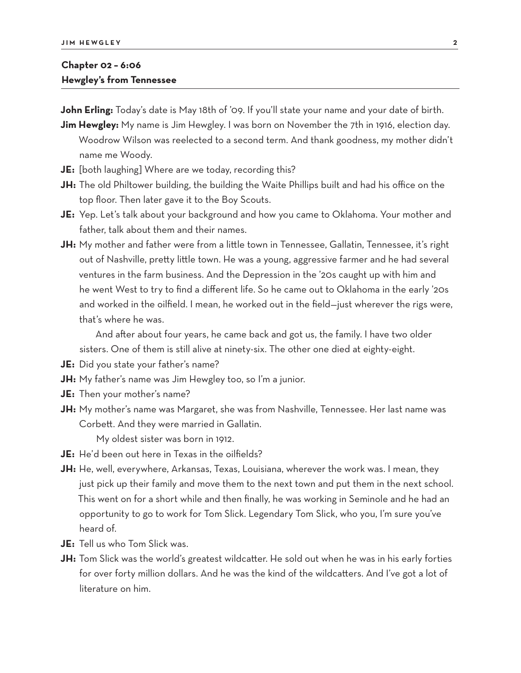## **Chapter 02 – 6:06 Hewgley's from Tennessee**

**John Erling:** Today's date is May 18th of '09. If you'll state your name and your date of birth.

- **Jim Hewgley:** My name is Jim Hewgley. I was born on November the 7th in 1916, election day. Woodrow Wilson was reelected to a second term. And thank goodness, my mother didn't name me Woody.
- **JE:** [both laughing] Where are we today, recording this?
- **JH:** The old Philtower building, the building the Waite Phillips built and had his office on the top floor. Then later gave it to the Boy Scouts.
- **JE:** Yep. Let's talk about your background and how you came to Oklahoma. Your mother and father, talk about them and their names.
- **JH:** My mother and father were from a little town in Tennessee, Gallatin, Tennessee, it's right out of Nashville, pretty little town. He was a young, aggressive farmer and he had several ventures in the farm business. And the Depression in the '20s caught up with him and he went West to try to find a different life. So he came out to Oklahoma in the early '20s and worked in the oilfield. I mean, he worked out in the field—just wherever the rigs were, that's where he was.

And after about four years, he came back and got us, the family. I have two older sisters. One of them is still alive at ninety-six. The other one died at eighty-eight.

- **JE:** Did you state your father's name?
- **JH:** My father's name was Jim Hewgley too, so I'm a junior.
- **JE:** Then your mother's name?
- **JH:** My mother's name was Margaret, she was from Nashville, Tennessee. Her last name was Corbett. And they were married in Gallatin.

My oldest sister was born in 1912.

- **JE:** He'd been out here in Texas in the oilfields?
- **JH:** He, well, everywhere, Arkansas, Texas, Louisiana, wherever the work was. I mean, they just pick up their family and move them to the next town and put them in the next school. This went on for a short while and then finally, he was working in Seminole and he had an opportunity to go to work for Tom Slick. Legendary Tom Slick, who you, I'm sure you've heard of.
- **JE:** Tell us who Tom Slick was.
- **JH:** Tom Slick was the world's greatest wildcatter. He sold out when he was in his early forties for over forty million dollars. And he was the kind of the wildcatters. And I've got a lot of literature on him.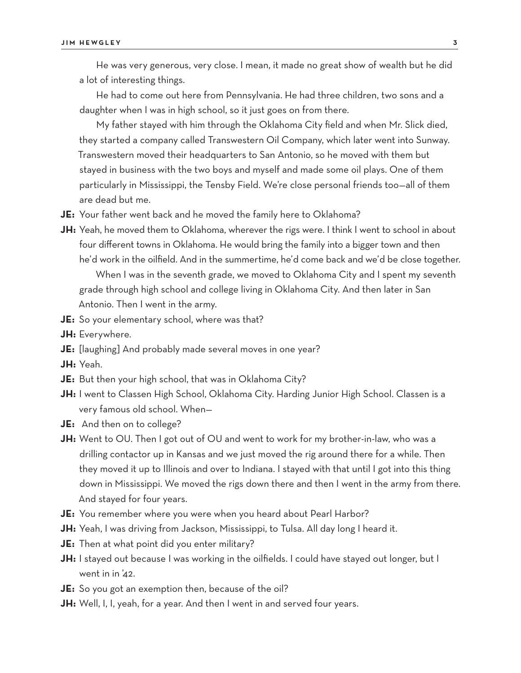He was very generous, very close. I mean, it made no great show of wealth but he did a lot of interesting things.

He had to come out here from Pennsylvania. He had three children, two sons and a daughter when I was in high school, so it just goes on from there.

My father stayed with him through the Oklahoma City field and when Mr. Slick died, they started a company called Transwestern Oil Company, which later went into Sunway. Transwestern moved their headquarters to San Antonio, so he moved with them but stayed in business with the two boys and myself and made some oil plays. One of them particularly in Mississippi, the Tensby Field. We're close personal friends too—all of them are dead but me.

- **JE:** Your father went back and he moved the family here to Oklahoma?
- **JH:** Yeah, he moved them to Oklahoma, wherever the rigs were. I think I went to school in about four different towns in Oklahoma. He would bring the family into a bigger town and then he'd work in the oilfield. And in the summertime, he'd come back and we'd be close together.

When I was in the seventh grade, we moved to Oklahoma City and I spent my seventh grade through high school and college living in Oklahoma City. And then later in San Antonio. Then I went in the army.

- **JE:** So your elementary school, where was that?
- **JH:** Everywhere.
- **JE:** [laughing] And probably made several moves in one year?
- **JH:** Yeah.
- **JE:** But then your high school, that was in Oklahoma City?
- **JH:** I went to Classen High School, Oklahoma City. Harding Junior High School. Classen is a very famous old school. When—
- **JE:** And then on to college?
- **JH:** Went to OU. Then I got out of OU and went to work for my brother-in-law, who was a drilling contactor up in Kansas and we just moved the rig around there for a while. Then they moved it up to Illinois and over to Indiana. I stayed with that until I got into this thing down in Mississippi. We moved the rigs down there and then I went in the army from there. And stayed for four years.
- **JE:** You remember where you were when you heard about Pearl Harbor?
- **JH:** Yeah, I was driving from Jackson, Mississippi, to Tulsa. All day long I heard it.
- **JE:** Then at what point did you enter military?
- **JH:** I stayed out because I was working in the oilfields. I could have stayed out longer, but I went in in '42.
- **JE:** So you got an exemption then, because of the oil?
- **JH:** Well, I, I, yeah, for a year. And then I went in and served four years.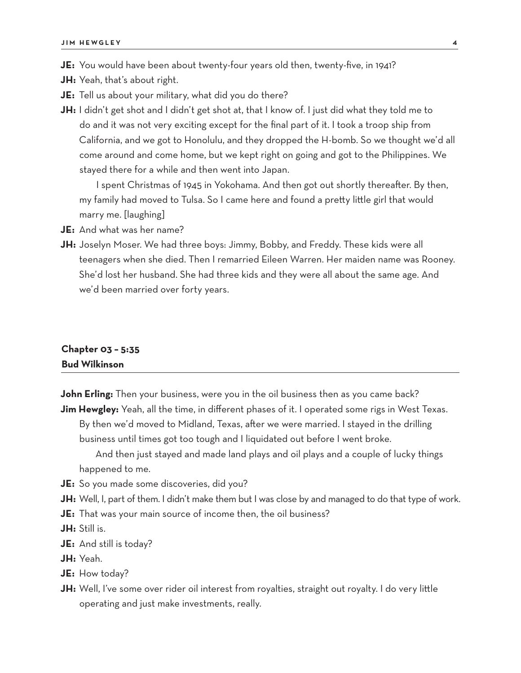**JE:** You would have been about twenty-four years old then, twenty-five, in 1941?

- **JH:** Yeah, that's about right.
- **JE:** Tell us about your military, what did you do there?
- **JH:** I didn't get shot and I didn't get shot at, that I know of. I just did what they told me to do and it was not very exciting except for the final part of it. I took a troop ship from California, and we got to Honolulu, and they dropped the H-bomb. So we thought we'd all come around and come home, but we kept right on going and got to the Philippines. We stayed there for a while and then went into Japan.

I spent Christmas of 1945 in Yokohama. And then got out shortly thereafter. By then, my family had moved to Tulsa. So I came here and found a pretty little girl that would marry me. [laughing]

- **JE:** And what was her name?
- **JH:** Joselyn Moser. We had three boys: Jimmy, Bobby, and Freddy. These kids were all teenagers when she died. Then I remarried Eileen Warren. Her maiden name was Rooney. She'd lost her husband. She had three kids and they were all about the same age. And we'd been married over forty years.

## **Chapter 03 – 5:35 Bud Wilkinson**

**John Erling:** Then your business, were you in the oil business then as you came back? **Jim Hewgley:** Yeah, all the time, in different phases of it. I operated some rigs in West Texas. By then we'd moved to Midland, Texas, after we were married. I stayed in the drilling business until times got too tough and I liquidated out before I went broke. And then just stayed and made land plays and oil plays and a couple of lucky things happened to me.

- **JE:** So you made some discoveries, did you?
- **JH:** Well, I, part of them. I didn't make them but I was close by and managed to do that type of work.
- **JE:** That was your main source of income then, the oil business?
- **JH:** Still is.
- **JE:** And still is today?
- **JH:** Yeah.
- **JE:** How today?
- **JH:** Well, I've some over rider oil interest from royalties, straight out royalty. I do very little operating and just make investments, really.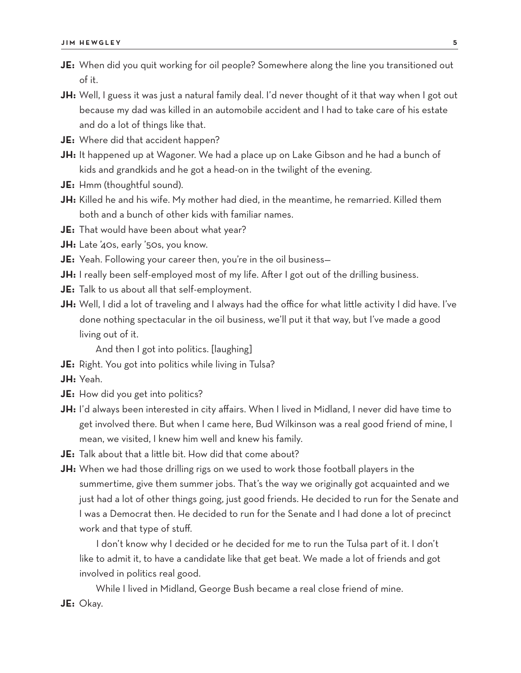- **JE:** When did you quit working for oil people? Somewhere along the line you transitioned out of it.
- **JH:** Well, I guess it was just a natural family deal. I'd never thought of it that way when I got out because my dad was killed in an automobile accident and I had to take care of his estate and do a lot of things like that.
- **JE:** Where did that accident happen?
- **JH:** It happened up at Wagoner. We had a place up on Lake Gibson and he had a bunch of kids and grandkids and he got a head-on in the twilight of the evening.
- **JE:** Hmm (thoughtful sound).
- **JH:** Killed he and his wife. My mother had died, in the meantime, he remarried. Killed them both and a bunch of other kids with familiar names.
- **JE:** That would have been about what year?
- **JH:** Late '40s, early '50s, you know.
- **JE:** Yeah. Following your career then, you're in the oil business—
- **JH:** I really been self-employed most of my life. After I got out of the drilling business.
- **JE:** Talk to us about all that self-employment.
- **JH:** Well, I did a lot of traveling and I always had the office for what little activity I did have. I've done nothing spectacular in the oil business, we'll put it that way, but I've made a good living out of it.

And then I got into politics. [laughing]

- **JE:** Right. You got into politics while living in Tulsa?
- **JH:** Yeah.
- **JE:** How did you get into politics?
- **JH:** I'd always been interested in city affairs. When I lived in Midland, I never did have time to get involved there. But when I came here, Bud Wilkinson was a real good friend of mine, I mean, we visited, I knew him well and knew his family.
- **JE:** Talk about that a little bit. How did that come about?
- **JH:** When we had those drilling rigs on we used to work those football players in the summertime, give them summer jobs. That's the way we originally got acquainted and we just had a lot of other things going, just good friends. He decided to run for the Senate and I was a Democrat then. He decided to run for the Senate and I had done a lot of precinct work and that type of stuff.

I don't know why I decided or he decided for me to run the Tulsa part of it. I don't like to admit it, to have a candidate like that get beat. We made a lot of friends and got involved in politics real good.

While I lived in Midland, George Bush became a real close friend of mine.

#### **JE:** Okay.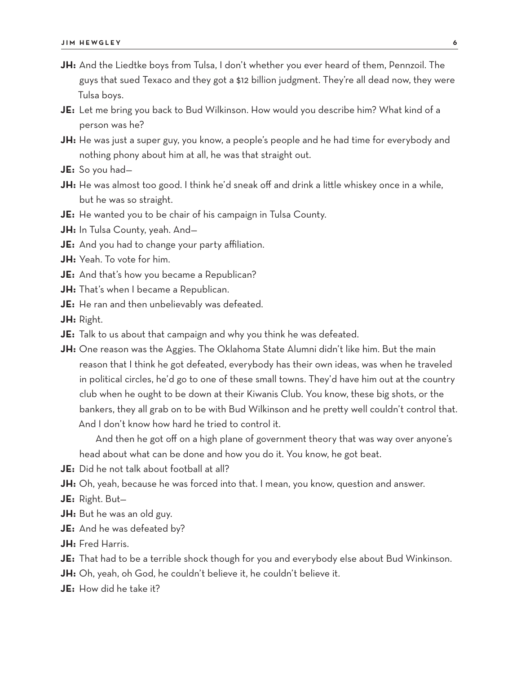- **JH:** And the Liedtke boys from Tulsa, I don't whether you ever heard of them, Pennzoil. The guys that sued Texaco and they got a \$12 billion judgment. They're all dead now, they were Tulsa boys.
- **JE:** Let me bring you back to Bud Wilkinson. How would you describe him? What kind of a person was he?
- **JH:** He was just a super guy, you know, a people's people and he had time for everybody and nothing phony about him at all, he was that straight out.
- **JE:** So you had—
- **JH:** He was almost too good. I think he'd sneak off and drink a little whiskey once in a while, but he was so straight.
- **JE:** He wanted you to be chair of his campaign in Tulsa County.
- **JH:** In Tulsa County, yeah. And—
- **JE:** And you had to change your party affiliation.
- **JH:** Yeah. To vote for him.
- **JE:** And that's how you became a Republican?
- **JH:** That's when I became a Republican.
- **JE:** He ran and then unbelievably was defeated.

**JH:** Right.

- **JE:** Talk to us about that campaign and why you think he was defeated.
- **JH:** One reason was the Aggies. The Oklahoma State Alumni didn't like him. But the main reason that I think he got defeated, everybody has their own ideas, was when he traveled in political circles, he'd go to one of these small towns. They'd have him out at the country club when he ought to be down at their Kiwanis Club. You know, these big shots, or the bankers, they all grab on to be with Bud Wilkinson and he pretty well couldn't control that. And I don't know how hard he tried to control it.

And then he got off on a high plane of government theory that was way over anyone's head about what can be done and how you do it. You know, he got beat.

- **JE:** Did he not talk about football at all?
- **JH:** Oh, yeah, because he was forced into that. I mean, you know, question and answer.
- **JE:** Right. But—
- **JH:** But he was an old guy.
- **JE:** And he was defeated by?
- **JH:** Fred Harris.
- **JE:** That had to be a terrible shock though for you and everybody else about Bud Winkinson.
- **JH:** Oh, yeah, oh God, he couldn't believe it, he couldn't believe it.
- **JE:** How did he take it?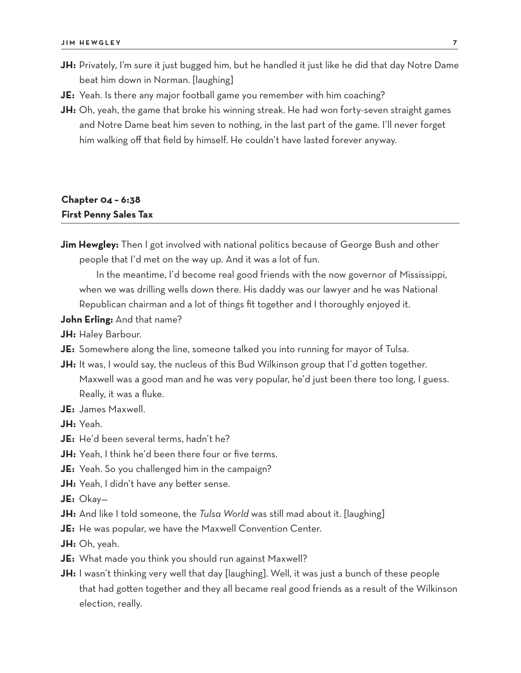- **JH:** Privately, I'm sure it just bugged him, but he handled it just like he did that day Notre Dame beat him down in Norman. [laughing]
- **JE:** Yeah. Is there any major football game you remember with him coaching?
- **JH:** Oh, yeah, the game that broke his winning streak. He had won forty-seven straight games and Notre Dame beat him seven to nothing, in the last part of the game. I'll never forget him walking off that field by himself. He couldn't have lasted forever anyway.

## **Chapter 04 – 6:38 First Penny Sales Tax**

**Jim Hewgley:** Then I got involved with national politics because of George Bush and other people that I'd met on the way up. And it was a lot of fun.

In the meantime, I'd become real good friends with the now governor of Mississippi, when we was drilling wells down there. His daddy was our lawyer and he was National Republican chairman and a lot of things fit together and I thoroughly enjoyed it.

#### **John Erling:** And that name?

- **JH:** Haley Barbour.
- **JE:** Somewhere along the line, someone talked you into running for mayor of Tulsa.
- JH: It was, I would say, the nucleus of this Bud Wilkinson group that I'd gotten together. Maxwell was a good man and he was very popular, he'd just been there too long, I guess. Really, it was a fluke.
- **JE:** James Maxwell.

**JH:** Yeah.

- **JE:** He'd been several terms, hadn't he?
- **JH:** Yeah, I think he'd been there four or five terms.
- **JE:** Yeah. So you challenged him in the campaign?
- **JH:** Yeah, I didn't have any better sense.
- **JE:** Okay—
- **JH:** And like I told someone, the *Tulsa World* was still mad about it. [laughing]
- **JE:** He was popular, we have the Maxwell Convention Center.
- **JH:** Oh, yeah.
- **JE:** What made you think you should run against Maxwell?
- **JH:** I wasn't thinking very well that day [laughing]. Well, it was just a bunch of these people that had gotten together and they all became real good friends as a result of the Wilkinson election, really.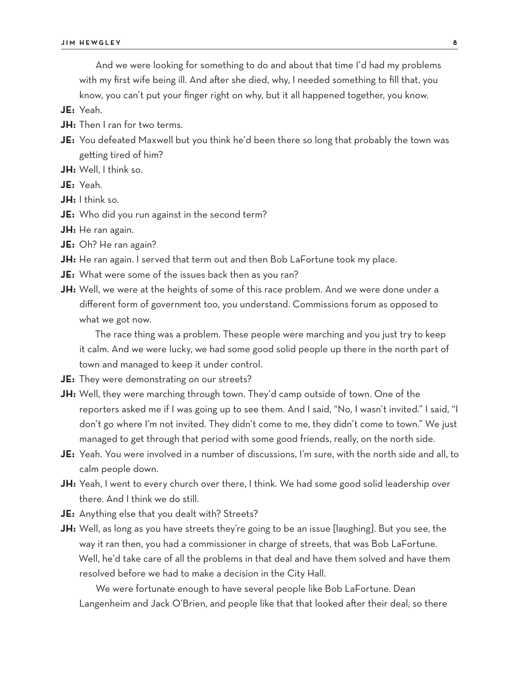And we were looking for something to do and about that time I'd had my problems with my first wife being ill. And after she died, why, I needed something to fill that, you know, you can't put your finger right on why, but it all happened together, you know.

**JE:** Yeah.

- **JH:** Then I ran for two terms.
- **JE:** You defeated Maxwell but you think he'd been there so long that probably the town was getting tired of him?

**JH:** Well, I think so.

**JE:** Yeah.

**JH:** I think so.

- **JE:** Who did you run against in the second term?
- **JH:** He ran again.
- **JE:** Oh? He ran again?
- **JH:** He ran again. I served that term out and then Bob LaFortune took my place.
- **JE:** What were some of the issues back then as you ran?
- **JH:** Well, we were at the heights of some of this race problem. And we were done under a different form of government too, you understand. Commissions forum as opposed to what we got now.

The race thing was a problem. These people were marching and you just try to keep it calm. And we were lucky, we had some good solid people up there in the north part of town and managed to keep it under control.

**JE:** They were demonstrating on our streets?

- **JH:** Well, they were marching through town. They'd camp outside of town. One of the reporters asked me if I was going up to see them. And I said, "No, I wasn't invited." I said, "I don't go where I'm not invited. They didn't come to me, they didn't come to town." We just managed to get through that period with some good friends, really, on the north side.
- **JE:** Yeah. You were involved in a number of discussions, I'm sure, with the north side and all, to calm people down.
- **JH:** Yeah, I went to every church over there, I think. We had some good solid leadership over there. And I think we do still.
- **JE:** Anything else that you dealt with? Streets?
- **JH:** Well, as long as you have streets they're going to be an issue [laughing]. But you see, the way it ran then, you had a commissioner in charge of streets, that was Bob LaFortune. Well, he'd take care of all the problems in that deal and have them solved and have them resolved before we had to make a decision in the City Hall.

We were fortunate enough to have several people like Bob LaFortune. Dean Langenheim and Jack O'Brien, and people like that that looked after their deal, so there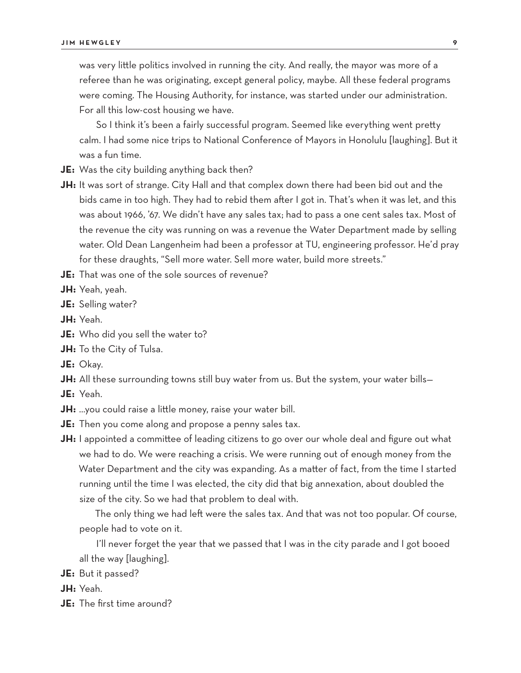was very little politics involved in running the city. And really, the mayor was more of a referee than he was originating, except general policy, maybe. All these federal programs were coming. The Housing Authority, for instance, was started under our administration. For all this low-cost housing we have.

So I think it's been a fairly successful program. Seemed like everything went pretty calm. I had some nice trips to National Conference of Mayors in Honolulu [laughing]. But it was a fun time.

- **JE:** Was the city building anything back then?
- **JH:** It was sort of strange. City Hall and that complex down there had been bid out and the bids came in too high. They had to rebid them after I got in. That's when it was let, and this was about 1966, '67. We didn't have any sales tax; had to pass a one cent sales tax. Most of the revenue the city was running on was a revenue the Water Department made by selling water. Old Dean Langenheim had been a professor at TU, engineering professor. He'd pray for these draughts, "Sell more water. Sell more water, build more streets."

**JE:** That was one of the sole sources of revenue?

- **JH:** Yeah, yeah.
- **JE:** Selling water?
- **JH:** Yeah.
- **JE:** Who did you sell the water to?
- **JH:** To the City of Tulsa.
- **JE:** Okay.
- **JH:** All these surrounding towns still buy water from us. But the system, your water bills–
- **JE:** Yeah.
- **JH:** …you could raise a little money, raise your water bill.
- **JE:** Then you come along and propose a penny sales tax.
- **JH:** I appointed a committee of leading citizens to go over our whole deal and figure out what we had to do. We were reaching a crisis. We were running out of enough money from the Water Department and the city was expanding. As a matter of fact, from the time I started running until the time I was elected, the city did that big annexation, about doubled the size of the city. So we had that problem to deal with.

The only thing we had left were the sales tax. And that was not too popular. Of course, people had to vote on it.

I'll never forget the year that we passed that I was in the city parade and I got booed all the way [laughing].

**JE:** But it passed?

**JH:** Yeah.

**JE:** The first time around?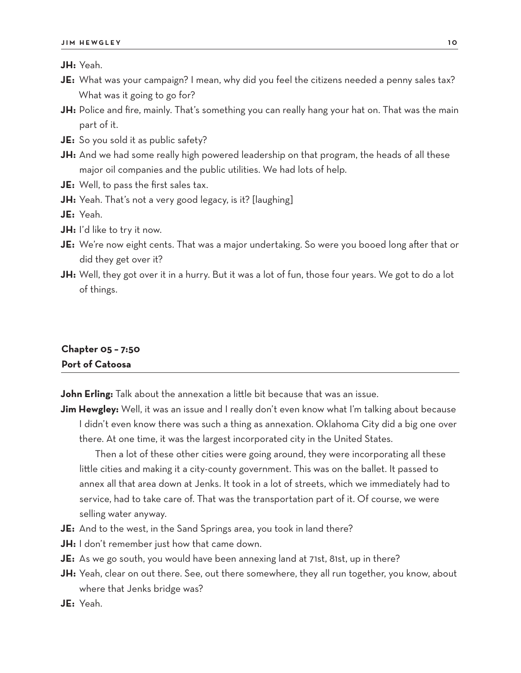**JH:** Yeah.

- **JE:** What was your campaign? I mean, why did you feel the citizens needed a penny sales tax? What was it going to go for?
- **JH:** Police and fire, mainly. That's something you can really hang your hat on. That was the main part of it.
- **JE:** So you sold it as public safety?
- **JH:** And we had some really high powered leadership on that program, the heads of all these major oil companies and the public utilities. We had lots of help.
- **JE:** Well, to pass the first sales tax.
- **JH:** Yeah. That's not a very good legacy, is it? [laughing]

**JE:** Yeah.

- **JH:** I'd like to try it now.
- **JE:** We're now eight cents. That was a major undertaking. So were you booed long after that or did they get over it?
- **JH:** Well, they got over it in a hurry. But it was a lot of fun, those four years. We got to do a lot of things.

## **Chapter 05 – 7:50 Port of Catoosa**

**John Erling:** Talk about the annexation a little bit because that was an issue.

**Jim Hewgley:** Well, it was an issue and I really don't even know what I'm talking about because I didn't even know there was such a thing as annexation. Oklahoma City did a big one over there. At one time, it was the largest incorporated city in the United States.

Then a lot of these other cities were going around, they were incorporating all these little cities and making it a city-county government. This was on the ballet. It passed to annex all that area down at Jenks. It took in a lot of streets, which we immediately had to service, had to take care of. That was the transportation part of it. Of course, we were selling water anyway.

- **JE:** And to the west, in the Sand Springs area, you took in land there?
- **JH:** I don't remember just how that came down.
- **JE:** As we go south, you would have been annexing land at 71st, 81st, up in there?
- **JH:** Yeah, clear on out there. See, out there somewhere, they all run together, you know, about where that Jenks bridge was?
- **JE:** Yeah.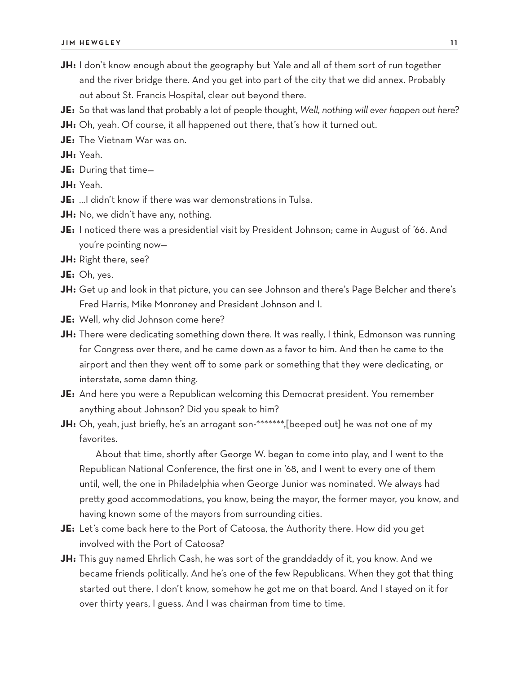- **JH:** I don't know enough about the geography but Yale and all of them sort of run together and the river bridge there. And you get into part of the city that we did annex. Probably out about St. Francis Hospital, clear out beyond there.
- **JE:** So that was land that probably a lot of people thought, *Well, nothing will ever happen out here*?
- **JH:** Oh, yeah. Of course, it all happened out there, that's how it turned out.
- **JE:** The Vietnam War was on.
- **JH:** Yeah.
- **JE:** During that time—
- **JH:** Yeah.
- **JE:** …I didn't know if there was war demonstrations in Tulsa.
- **JH:** No, we didn't have any, nothing.
- **JE:** I noticed there was a presidential visit by President Johnson; came in August of '66. And you're pointing now—
- **JH:** Right there, see?
- **JE:** Oh, yes.
- **JH:** Get up and look in that picture, you can see Johnson and there's Page Belcher and there's Fred Harris, Mike Monroney and President Johnson and I.
- **JE:** Well, why did Johnson come here?
- **JH:** There were dedicating something down there. It was really, I think, Edmonson was running for Congress over there, and he came down as a favor to him. And then he came to the airport and then they went off to some park or something that they were dedicating, or interstate, some damn thing.
- **JE:** And here you were a Republican welcoming this Democrat president. You remember anything about Johnson? Did you speak to him?
- **JH:** Oh, yeah, just briefly, he's an arrogant son-\*\*\*\*\*\*\*,[beeped out] he was not one of my favorites.

About that time, shortly after George W. began to come into play, and I went to the Republican National Conference, the first one in '68, and I went to every one of them until, well, the one in Philadelphia when George Junior was nominated. We always had pretty good accommodations, you know, being the mayor, the former mayor, you know, and having known some of the mayors from surrounding cities.

- **JE:** Let's come back here to the Port of Catoosa, the Authority there. How did you get involved with the Port of Catoosa?
- **JH:** This guy named Ehrlich Cash, he was sort of the granddaddy of it, you know. And we became friends politically. And he's one of the few Republicans. When they got that thing started out there, I don't know, somehow he got me on that board. And I stayed on it for over thirty years, I guess. And I was chairman from time to time.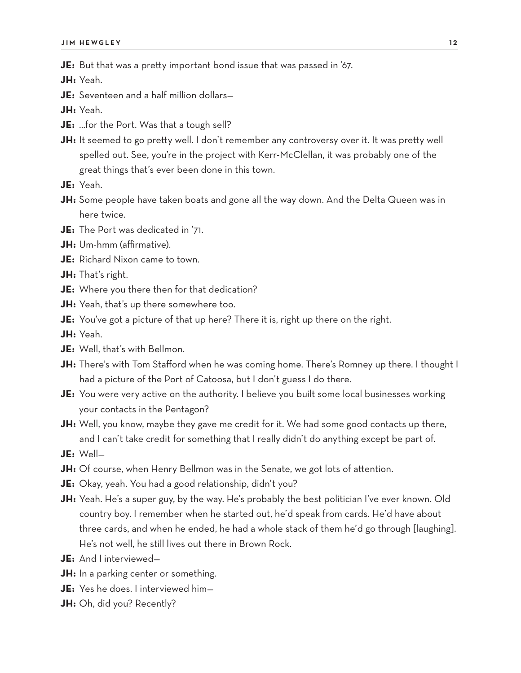**JE:** But that was a pretty important bond issue that was passed in '67.

**JH:** Yeah.

**JE:** Seventeen and a half million dollars—

**JH:** Yeah.

- **JE:** …for the Port. Was that a tough sell?
- **JH:** It seemed to go pretty well. I don't remember any controversy over it. It was pretty well spelled out. See, you're in the project with Kerr-McClellan, it was probably one of the great things that's ever been done in this town.
- **JE:** Yeah.
- **JH:** Some people have taken boats and gone all the way down. And the Delta Queen was in here twice.
- **JE:** The Port was dedicated in '71.
- **JH:** Um-hmm (affirmative).
- **JE:** Richard Nixon came to town.
- **JH:** That's right.
- **JE:** Where you there then for that dedication?
- **JH:** Yeah, that's up there somewhere too.
- **JE:** You've got a picture of that up here? There it is, right up there on the right.
- **JH:** Yeah.
- **JE:** Well, that's with Bellmon.
- **JH:** There's with Tom Stafford when he was coming home. There's Romney up there. I thought I had a picture of the Port of Catoosa, but I don't guess I do there.
- **JE:** You were very active on the authority. I believe you built some local businesses working your contacts in the Pentagon?
- **JH:** Well, you know, maybe they gave me credit for it. We had some good contacts up there, and I can't take credit for something that I really didn't do anything except be part of.
- **JE:** Well—
- **JH:** Of course, when Henry Bellmon was in the Senate, we got lots of attention.
- **JE:** Okay, yeah. You had a good relationship, didn't you?
- **JH:** Yeah. He's a super guy, by the way. He's probably the best politician I've ever known. Old country boy. I remember when he started out, he'd speak from cards. He'd have about three cards, and when he ended, he had a whole stack of them he'd go through [laughing]. He's not well, he still lives out there in Brown Rock.
- **JE:** And I interviewed—
- **JH:** In a parking center or something.
- **JE:** Yes he does. I interviewed him—
- **JH:** Oh, did you? Recently?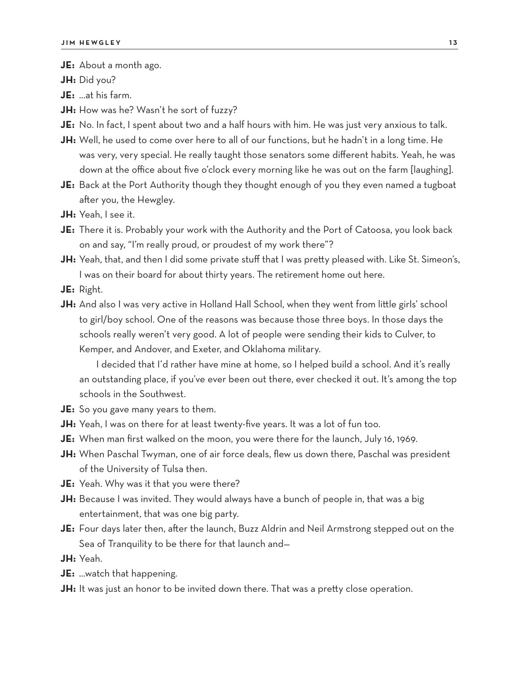**JE:** About a month ago.

**JH:** Did you?

**JE:** …at his farm.

- **JH:** How was he? Wasn't he sort of fuzzy?
- **JE:** No. In fact, I spent about two and a half hours with him. He was just very anxious to talk.
- **JH:** Well, he used to come over here to all of our functions, but he hadn't in a long time. He was very, very special. He really taught those senators some different habits. Yeah, he was down at the office about five o'clock every morning like he was out on the farm [laughing].
- **JE:** Back at the Port Authority though they thought enough of you they even named a tugboat after you, the Hewgley.
- **JH:** Yeah, I see it.
- **JE:** There it is. Probably your work with the Authority and the Port of Catoosa, you look back on and say, "I'm really proud, or proudest of my work there"?
- **JH:** Yeah, that, and then I did some private stuff that I was pretty pleased with. Like St. Simeon's, I was on their board for about thirty years. The retirement home out here.
- **JE:** Right.
- **JH:** And also I was very active in Holland Hall School, when they went from little girls' school to girl/boy school. One of the reasons was because those three boys. In those days the schools really weren't very good. A lot of people were sending their kids to Culver, to Kemper, and Andover, and Exeter, and Oklahoma military.

I decided that I'd rather have mine at home, so I helped build a school. And it's really an outstanding place, if you've ever been out there, ever checked it out. It's among the top schools in the Southwest.

- **JE:** So you gave many years to them.
- **JH:** Yeah, I was on there for at least twenty-five years. It was a lot of fun too.
- **JE:** When man first walked on the moon, you were there for the launch, July 16, 1969.
- **JH:** When Paschal Twyman, one of air force deals, flew us down there, Paschal was president of the University of Tulsa then.
- **JE:** Yeah. Why was it that you were there?
- **JH:** Because I was invited. They would always have a bunch of people in, that was a big entertainment, that was one big party.
- **JE:** Four days later then, after the launch, Buzz Aldrin and Neil Armstrong stepped out on the Sea of Tranquility to be there for that launch and—

**JH:** Yeah.

- **JE:** …watch that happening.
- **JH:** It was just an honor to be invited down there. That was a pretty close operation.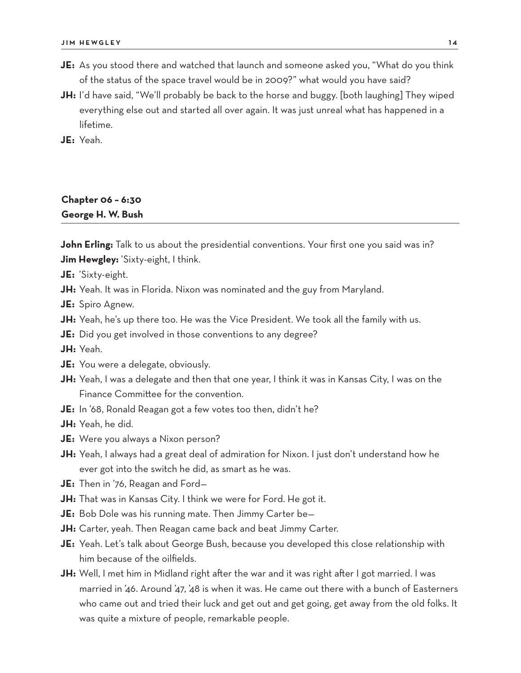- **JE:** As you stood there and watched that launch and someone asked you, "What do you think of the status of the space travel would be in 2009?" what would you have said?
- **JH:** I'd have said, "We'll probably be back to the horse and buggy. [both laughing] They wiped everything else out and started all over again. It was just unreal what has happened in a lifetime.

**JE:** Yeah.

## **Chapter 06 – 6:30 George H. W. Bush**

**John Erling:** Talk to us about the presidential conventions. Your first one you said was in? **Jim Hewgley:** 'Sixty-eight, I think.

**JE:** 'Sixty-eight.

**JH:** Yeah. It was in Florida. Nixon was nominated and the guy from Maryland.

**JE:** Spiro Agnew.

- **JH:** Yeah, he's up there too. He was the Vice President. We took all the family with us.
- **JE:** Did you get involved in those conventions to any degree?

**JH:** Yeah.

- **JE:** You were a delegate, obviously.
- **JH:** Yeah, I was a delegate and then that one year, I think it was in Kansas City, I was on the Finance Committee for the convention.
- **JE:** In '68, Ronald Reagan got a few votes too then, didn't he?

**JH:** Yeah, he did.

- **JE:** Were you always a Nixon person?
- **JH:** Yeah, I always had a great deal of admiration for Nixon. I just don't understand how he ever got into the switch he did, as smart as he was.
- **JE:** Then in '76, Reagan and Ford—
- **JH:** That was in Kansas City. I think we were for Ford. He got it.
- **JE:** Bob Dole was his running mate. Then Jimmy Carter be—
- **JH:** Carter, yeah. Then Reagan came back and beat Jimmy Carter.
- **JE:** Yeah. Let's talk about George Bush, because you developed this close relationship with him because of the oilfields.
- **JH:** Well, I met him in Midland right after the war and it was right after I got married. I was married in '46. Around '47, '48 is when it was. He came out there with a bunch of Easterners who came out and tried their luck and get out and get going, get away from the old folks. It was quite a mixture of people, remarkable people.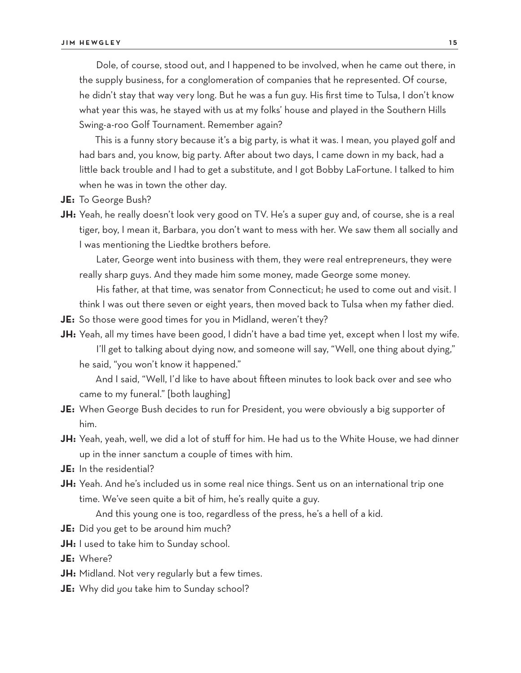Dole, of course, stood out, and I happened to be involved, when he came out there, in the supply business, for a conglomeration of companies that he represented. Of course, he didn't stay that way very long. But he was a fun guy. His first time to Tulsa, I don't know what year this was, he stayed with us at my folks' house and played in the Southern Hills Swing-a-roo Golf Tournament. Remember again?

This is a funny story because it's a big party, is what it was. I mean, you played golf and had bars and, you know, big party. After about two days, I came down in my back, had a little back trouble and I had to get a substitute, and I got Bobby LaFortune. I talked to him when he was in town the other day.

- **JE:** To George Bush?
- **JH:** Yeah, he really doesn't look very good on TV. He's a super guy and, of course, she is a real tiger, boy, I mean it, Barbara, you don't want to mess with her. We saw them all socially and I was mentioning the Liedtke brothers before.

Later, George went into business with them, they were real entrepreneurs, they were really sharp guys. And they made him some money, made George some money.

His father, at that time, was senator from Connecticut; he used to come out and visit. I think I was out there seven or eight years, then moved back to Tulsa when my father died.

- **JE:** So those were good times for you in Midland, weren't they?
- **JH:** Yeah, all my times have been good, I didn't have a bad time yet, except when I lost my wife. I'll get to talking about dying now, and someone will say, "Well, one thing about dying,"
	- he said, "you won't know it happened."

And I said, "Well, I'd like to have about fifteen minutes to look back over and see who came to my funeral." [both laughing]

- **JE:** When George Bush decides to run for President, you were obviously a big supporter of him.
- **JH:** Yeah, yeah, well, we did a lot of stuff for him. He had us to the White House, we had dinner up in the inner sanctum a couple of times with him.
- **JE:** In the residential?
- **JH:** Yeah. And he's included us in some real nice things. Sent us on an international trip one time. We've seen quite a bit of him, he's really quite a guy.

And this young one is too, regardless of the press, he's a hell of a kid.

- **JE:** Did you get to be around him much?
- **JH:** I used to take him to Sunday school.
- **JE:** Where?
- **JH:** Midland. Not very regularly but a few times.
- **JE:** Why did *you* take him to Sunday school?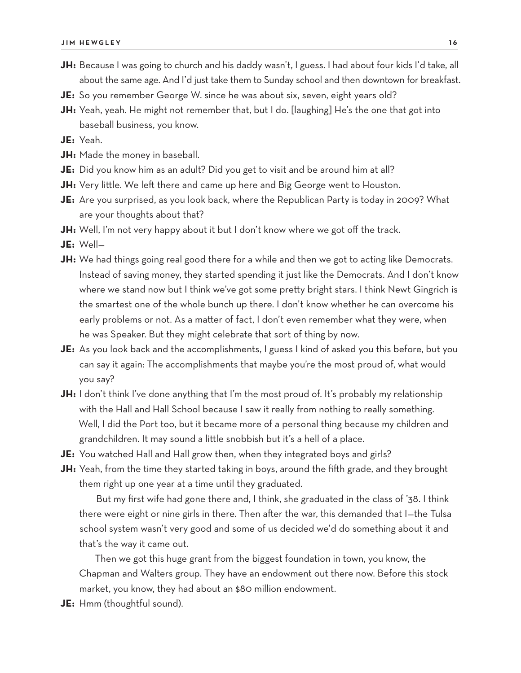- **JH:** Because I was going to church and his daddy wasn't, I guess. I had about four kids I'd take, all about the same age. And I'd just take them to Sunday school and then downtown for breakfast.
- **JE:** So you remember George W. since he was about six, seven, eight years old?
- **JH:** Yeah, yeah. He might not remember that, but I do. [laughing] He's the one that got into baseball business, you know.
- **JE:** Yeah.
- **JH:** Made the money in baseball.
- **JE:** Did you know him as an adult? Did you get to visit and be around him at all?
- **JH:** Very little. We left there and came up here and Big George went to Houston.
- **JE:** Are you surprised, as you look back, where the Republican Party is today in 2009? What are your thoughts about that?
- **JH:** Well, I'm not very happy about it but I don't know where we got off the track.
- **JE:** Well—
- **JH:** We had things going real good there for a while and then we got to acting like Democrats. Instead of saving money, they started spending it just like the Democrats. And I don't know where we stand now but I think we've got some pretty bright stars. I think Newt Gingrich is the smartest one of the whole bunch up there. I don't know whether he can overcome his early problems or not. As a matter of fact, I don't even remember what they were, when he was Speaker. But they might celebrate that sort of thing by now.
- **JE:** As you look back and the accomplishments, I guess I kind of asked you this before, but you can say it again: The accomplishments that maybe you're the most proud of, what would you say?
- **JH:** I don't think I've done anything that I'm the most proud of. It's probably my relationship with the Hall and Hall School because I saw it really from nothing to really something. Well, I did the Port too, but it became more of a personal thing because my children and grandchildren. It may sound a little snobbish but it's a hell of a place.
- **JE:** You watched Hall and Hall grow then, when they integrated boys and girls?
- **JH:** Yeah, from the time they started taking in boys, around the fifth grade, and they brought them right up one year at a time until they graduated.

But my first wife had gone there and, I think, she graduated in the class of '38. I think there were eight or nine girls in there. Then after the war, this demanded that I—the Tulsa school system wasn't very good and some of us decided we'd do something about it and that's the way it came out.

Then we got this huge grant from the biggest foundation in town, you know, the Chapman and Walters group. They have an endowment out there now. Before this stock market, you know, they had about an \$80 million endowment.

**JE:** Hmm (thoughtful sound).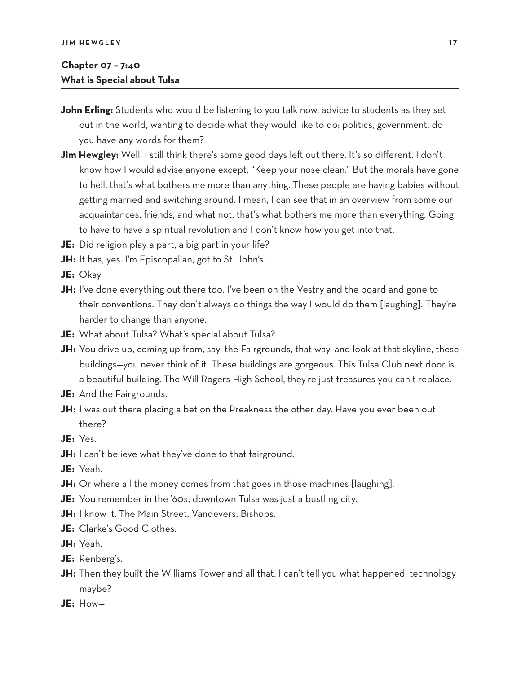## **Chapter 07 – 7:40 What is Special about Tulsa**

- **John Erling:** Students who would be listening to you talk now, advice to students as they set out in the world, wanting to decide what they would like to do: politics, government, do you have any words for them?
- **Jim Hewgley:** Well, I still think there's some good days left out there. It's so different, I don't know how I would advise anyone except, "Keep your nose clean." But the morals have gone to hell, that's what bothers me more than anything. These people are having babies without getting married and switching around. I mean, I can see that in an overview from some our acquaintances, friends, and what not, that's what bothers me more than everything. Going to have to have a spiritual revolution and I don't know how you get into that.
- **JE:** Did religion play a part, a big part in your life?
- **JH:** It has, yes. I'm Episcopalian, got to St. John's.
- **JE:** Okay.
- **JH:** I've done everything out there too. I've been on the Vestry and the board and gone to their conventions. They don't always do things the way I would do them [laughing]. They're harder to change than anyone.
- **JE:** What about Tulsa? What's special about Tulsa?
- **JH:** You drive up, coming up from, say, the Fairgrounds, that way, and look at that skyline, these buildings—you never think of it. These buildings are gorgeous. This Tulsa Club next door is a beautiful building. The Will Rogers High School, they're just treasures you can't replace.
- **JE:** And the Fairgrounds.
- **JH:** I was out there placing a bet on the Preakness the other day. Have you ever been out there?
- **JE:** Yes.
- **JH:** I can't believe what they've done to that fairground.
- **JE:** Yeah.
- **JH:** Or where all the money comes from that goes in those machines [laughing].
- **JE:** You remember in the '60s, downtown Tulsa was just a bustling city.
- **JH:** I know it. The Main Street, Vandevers, Bishops.
- **JE:** Clarke's Good Clothes.
- **JH:** Yeah.
- **JE:** Renberg's.
- **JH:** Then they built the Williams Tower and all that. I can't tell you what happened, technology maybe?
- **JE:** How—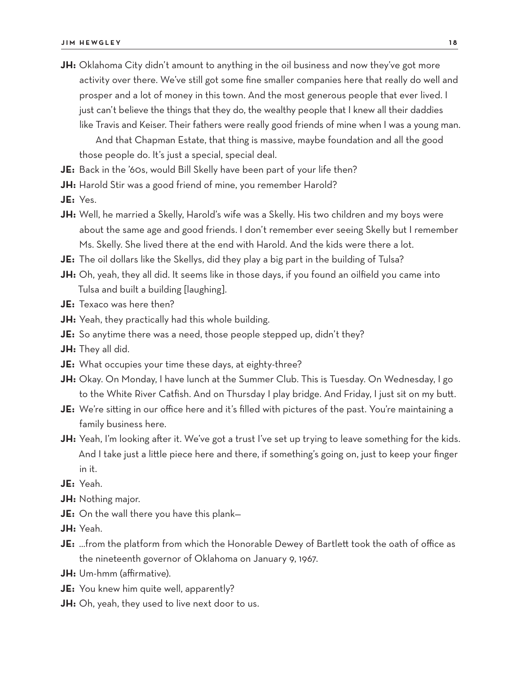- **JH:** Oklahoma City didn't amount to anything in the oil business and now they've got more activity over there. We've still got some fine smaller companies here that really do well and prosper and a lot of money in this town. And the most generous people that ever lived. I just can't believe the things that they do, the wealthy people that I knew all their daddies like Travis and Keiser. Their fathers were really good friends of mine when I was a young man. And that Chapman Estate, that thing is massive, maybe foundation and all the good those people do. It's just a special, special deal.
- **JE:** Back in the '60s, would Bill Skelly have been part of your life then?
- **JH:** Harold Stir was a good friend of mine, you remember Harold?
- **JE:** Yes.
- **JH:** Well, he married a Skelly, Harold's wife was a Skelly. His two children and my boys were about the same age and good friends. I don't remember ever seeing Skelly but I remember Ms. Skelly. She lived there at the end with Harold. And the kids were there a lot.
- **JE:** The oil dollars like the Skellys, did they play a big part in the building of Tulsa?
- **JH:** Oh, yeah, they all did. It seems like in those days, if you found an oilfield you came into Tulsa and built a building [laughing].
- **JE:** Texaco was here then?
- **JH:** Yeah, they practically had this whole building.
- **JE:** So anytime there was a need, those people stepped up, didn't they?
- **JH:** They all did.
- **JE:** What occupies your time these days, at eighty-three?
- **JH:** Okay. On Monday, I have lunch at the Summer Club. This is Tuesday. On Wednesday, I go to the White River Catfish. And on Thursday I play bridge. And Friday, I just sit on my butt.
- **JE:** We're sitting in our office here and it's filled with pictures of the past. You're maintaining a family business here.
- **JH:** Yeah, I'm looking after it. We've got a trust I've set up trying to leave something for the kids. And I take just a little piece here and there, if something's going on, just to keep your finger in it.
- **JE:** Yeah.
- **JH:** Nothing major.
- **JE:** On the wall there you have this plank—
- **JH:** Yeah.
- **JE:** …from the platform from which the Honorable Dewey of Bartlett took the oath of office as the nineteenth governor of Oklahoma on January 9, 1967.
- **JH:** Um-hmm (affirmative).
- **JE:** You knew him quite well, apparently?
- **JH:** Oh, yeah, they used to live next door to us.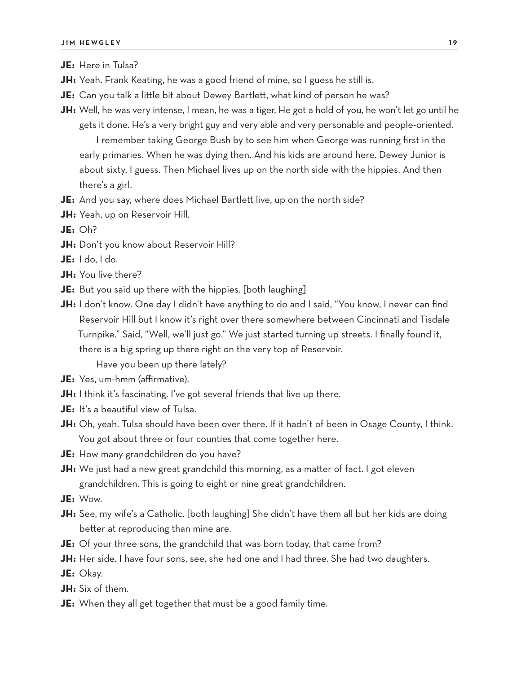**JE:** Here in Tulsa?

- **JH:** Yeah. Frank Keating, he was a good friend of mine, so I guess he still is.
- **JE:** Can you talk a little bit about Dewey Bartlett, what kind of person he was?
- **JH:** Well, he was very intense, I mean, he was a tiger. He got a hold of you, he won't let go until he gets it done. He's a very bright guy and very able and very personable and people-oriented.

I remember taking George Bush by to see him when George was running first in the early primaries. When he was dying then. And his kids are around here. Dewey Junior is about sixty, I guess. Then Michael lives up on the north side with the hippies. And then there's a girl.

- **JE:** And you say, where does Michael Bartlett live, up on the north side?
- **JH:** Yeah, up on Reservoir Hill.

**JE:** Oh?

**JH:** Don't you know about Reservoir Hill?

**JE:** I do, I do.

- **JH:** You live there?
- **JE:** But you said up there with the hippies. [both laughing]
- **JH:** I don't know. One day I didn't have anything to do and I said, "You know, I never can find Reservoir Hill but I know it's right over there somewhere between Cincinnati and Tisdale Turnpike." Said, "Well, we'll just go." We just started turning up streets. I finally found it, there is a big spring up there right on the very top of Reservoir.

Have you been up there lately?

- **JE:** Yes, um-hmm (affirmative).
- **JH:** I think it's fascinating. I've got several friends that live up there.
- **JE:** It's a beautiful view of Tulsa.
- **JH:** Oh, yeah. Tulsa should have been over there. If it hadn't of been in Osage County, I think. You got about three or four counties that come together here.
- **JE:** How many grandchildren do you have?
- **JH:** We just had a new great grandchild this morning, as a matter of fact. I got eleven grandchildren. This is going to eight or nine great grandchildren.

**JE:** Wow.

- **JH:** See, my wife's a Catholic. [both laughing] She didn't have them all but her kids are doing better at reproducing than mine are.
- **JE:** Of your three sons, the grandchild that was born today, that came from?
- **JH:** Her side. I have four sons, see, she had one and I had three. She had two daughters.

**JE:** Okay.

**JH:** Six of them.

**JE:** When they all get together that must be a good family time.